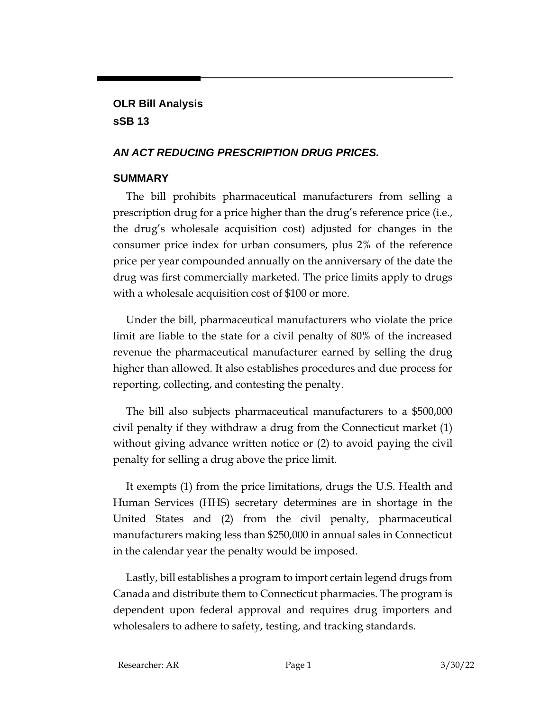## **OLR Bill Analysis sSB 13**

### *AN ACT REDUCING PRESCRIPTION DRUG PRICES.*

### **SUMMARY**

The bill prohibits pharmaceutical manufacturers from selling a prescription drug for a price higher than the drug's reference price (i.e., the drug's wholesale acquisition cost) adjusted for changes in the consumer price index for urban consumers, plus 2% of the reference price per year compounded annually on the anniversary of the date the drug was first commercially marketed. The price limits apply to drugs with a wholesale acquisition cost of \$100 or more.

Under the bill, pharmaceutical manufacturers who violate the price limit are liable to the state for a civil penalty of 80% of the increased revenue the pharmaceutical manufacturer earned by selling the drug higher than allowed. It also establishes procedures and due process for reporting, collecting, and contesting the penalty.

The bill also subjects pharmaceutical manufacturers to a \$500,000 civil penalty if they withdraw a drug from the Connecticut market (1) without giving advance written notice or (2) to avoid paying the civil penalty for selling a drug above the price limit.

It exempts (1) from the price limitations, drugs the U.S. Health and Human Services (HHS) secretary determines are in shortage in the United States and (2) from the civil penalty, pharmaceutical manufacturers making less than \$250,000 in annual sales in Connecticut in the calendar year the penalty would be imposed.

Lastly, bill establishes a program to import certain legend drugs from Canada and distribute them to Connecticut pharmacies. The program is dependent upon federal approval and requires drug importers and wholesalers to adhere to safety, testing, and tracking standards.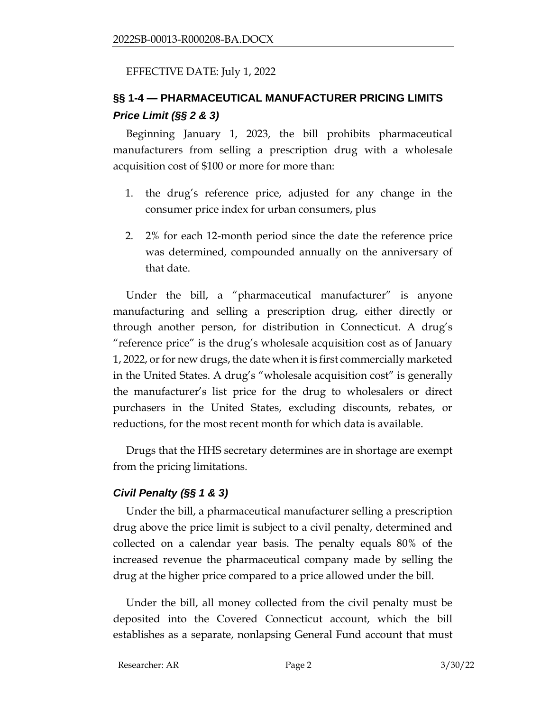#### EFFECTIVE DATE: July 1, 2022

# **§§ 1-4 — PHARMACEUTICAL MANUFACTURER PRICING LIMITS** *Price Limit (§§ 2 & 3)*

Beginning January 1, 2023, the bill prohibits pharmaceutical manufacturers from selling a prescription drug with a wholesale acquisition cost of \$100 or more for more than:

- 1. the drug's reference price, adjusted for any change in the consumer price index for urban consumers, plus
- 2. 2% for each 12-month period since the date the reference price was determined, compounded annually on the anniversary of that date.

Under the bill, a "pharmaceutical manufacturer" is anyone manufacturing and selling a prescription drug, either directly or through another person, for distribution in Connecticut. A drug's "reference price" is the drug's wholesale acquisition cost as of January 1, 2022, or for new drugs, the date when it is first commercially marketed in the United States. A drug's "wholesale acquisition cost" is generally the manufacturer's list price for the drug to wholesalers or direct purchasers in the United States, excluding discounts, rebates, or reductions, for the most recent month for which data is available.

Drugs that the HHS secretary determines are in shortage are exempt from the pricing limitations.

#### *Civil Penalty (§§ 1 & 3)*

Under the bill, a pharmaceutical manufacturer selling a prescription drug above the price limit is subject to a civil penalty, determined and collected on a calendar year basis. The penalty equals 80% of the increased revenue the pharmaceutical company made by selling the drug at the higher price compared to a price allowed under the bill.

Under the bill, all money collected from the civil penalty must be deposited into the Covered Connecticut account, which the bill establishes as a separate, nonlapsing General Fund account that must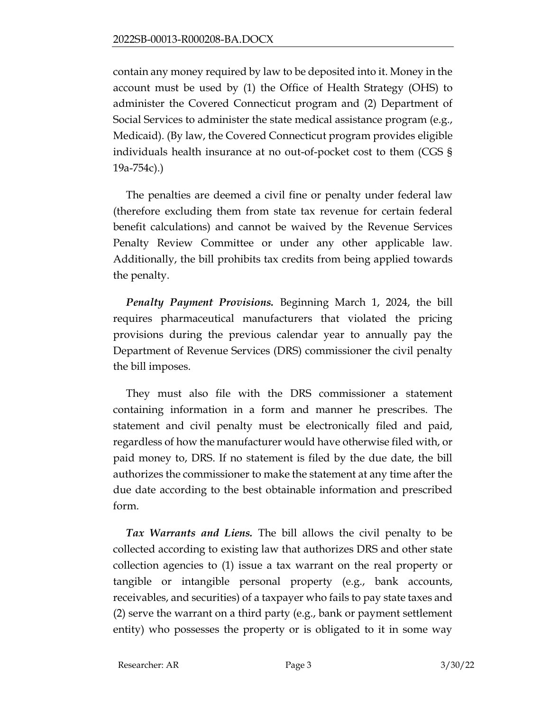contain any money required by law to be deposited into it. Money in the account must be used by (1) the Office of Health Strategy (OHS) to administer the Covered Connecticut program and (2) Department of Social Services to administer the state medical assistance program (e.g., Medicaid). (By law, the Covered Connecticut program provides eligible individuals health insurance at no out-of-pocket cost to them (CGS § 19a-754c).)

The penalties are deemed a civil fine or penalty under federal law (therefore excluding them from state tax revenue for certain federal benefit calculations) and cannot be waived by the Revenue Services Penalty Review Committee or under any other applicable law. Additionally, the bill prohibits tax credits from being applied towards the penalty.

*Penalty Payment Provisions.* Beginning March 1, 2024, the bill requires pharmaceutical manufacturers that violated the pricing provisions during the previous calendar year to annually pay the Department of Revenue Services (DRS) commissioner the civil penalty the bill imposes.

They must also file with the DRS commissioner a statement containing information in a form and manner he prescribes. The statement and civil penalty must be electronically filed and paid, regardless of how the manufacturer would have otherwise filed with, or paid money to, DRS. If no statement is filed by the due date, the bill authorizes the commissioner to make the statement at any time after the due date according to the best obtainable information and prescribed form.

*Tax Warrants and Liens.* The bill allows the civil penalty to be collected according to existing law that authorizes DRS and other state collection agencies to (1) issue a tax warrant on the real property or tangible or intangible personal property (e.g., bank accounts, receivables, and securities) of a taxpayer who fails to pay state taxes and (2) serve the warrant on a third party (e.g., bank or payment settlement entity) who possesses the property or is obligated to it in some way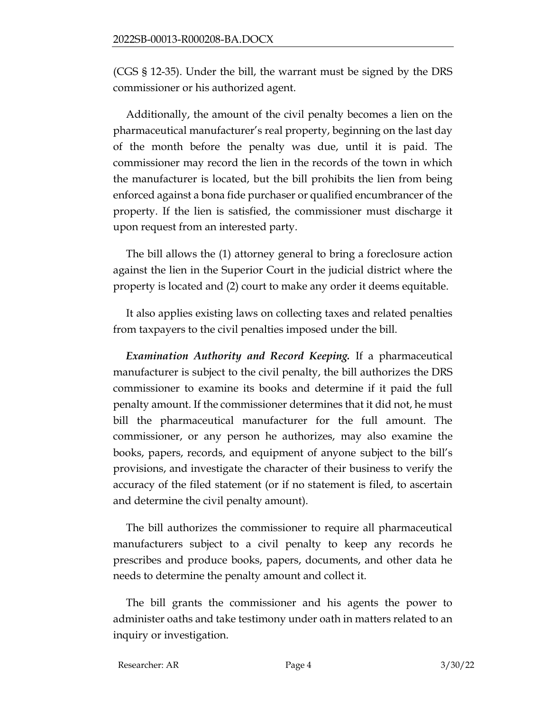(CGS § 12-35). Under the bill, the warrant must be signed by the DRS commissioner or his authorized agent.

Additionally, the amount of the civil penalty becomes a lien on the pharmaceutical manufacturer's real property, beginning on the last day of the month before the penalty was due, until it is paid. The commissioner may record the lien in the records of the town in which the manufacturer is located, but the bill prohibits the lien from being enforced against a bona fide purchaser or qualified encumbrancer of the property. If the lien is satisfied, the commissioner must discharge it upon request from an interested party.

The bill allows the (1) attorney general to bring a foreclosure action against the lien in the Superior Court in the judicial district where the property is located and (2) court to make any order it deems equitable.

It also applies existing laws on collecting taxes and related penalties from taxpayers to the civil penalties imposed under the bill.

*Examination Authority and Record Keeping.* If a pharmaceutical manufacturer is subject to the civil penalty, the bill authorizes the DRS commissioner to examine its books and determine if it paid the full penalty amount. If the commissioner determines that it did not, he must bill the pharmaceutical manufacturer for the full amount. The commissioner, or any person he authorizes, may also examine the books, papers, records, and equipment of anyone subject to the bill's provisions, and investigate the character of their business to verify the accuracy of the filed statement (or if no statement is filed, to ascertain and determine the civil penalty amount).

The bill authorizes the commissioner to require all pharmaceutical manufacturers subject to a civil penalty to keep any records he prescribes and produce books, papers, documents, and other data he needs to determine the penalty amount and collect it.

The bill grants the commissioner and his agents the power to administer oaths and take testimony under oath in matters related to an inquiry or investigation.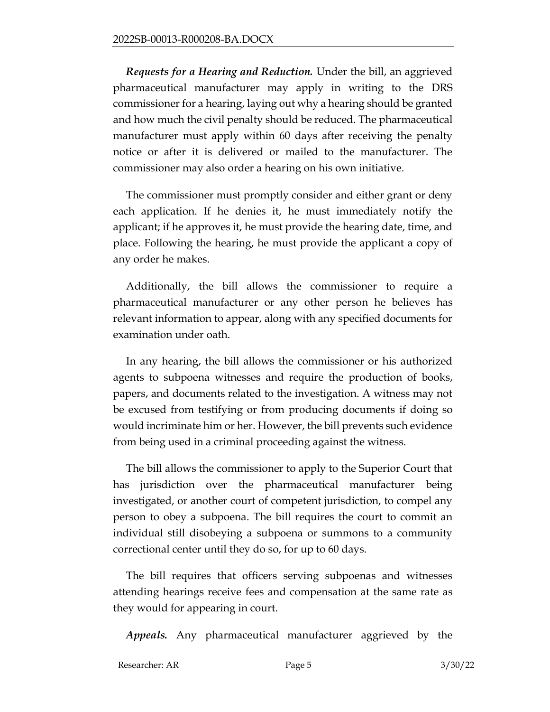*Requests for a Hearing and Reduction.* Under the bill, an aggrieved pharmaceutical manufacturer may apply in writing to the DRS commissioner for a hearing, laying out why a hearing should be granted and how much the civil penalty should be reduced. The pharmaceutical manufacturer must apply within 60 days after receiving the penalty notice or after it is delivered or mailed to the manufacturer. The commissioner may also order a hearing on his own initiative.

The commissioner must promptly consider and either grant or deny each application. If he denies it, he must immediately notify the applicant; if he approves it, he must provide the hearing date, time, and place. Following the hearing, he must provide the applicant a copy of any order he makes.

Additionally, the bill allows the commissioner to require a pharmaceutical manufacturer or any other person he believes has relevant information to appear, along with any specified documents for examination under oath.

In any hearing, the bill allows the commissioner or his authorized agents to subpoena witnesses and require the production of books, papers, and documents related to the investigation. A witness may not be excused from testifying or from producing documents if doing so would incriminate him or her. However, the bill prevents such evidence from being used in a criminal proceeding against the witness.

The bill allows the commissioner to apply to the Superior Court that has jurisdiction over the pharmaceutical manufacturer being investigated, or another court of competent jurisdiction, to compel any person to obey a subpoena. The bill requires the court to commit an individual still disobeying a subpoena or summons to a community correctional center until they do so, for up to 60 days.

The bill requires that officers serving subpoenas and witnesses attending hearings receive fees and compensation at the same rate as they would for appearing in court.

*Appeals.* Any pharmaceutical manufacturer aggrieved by the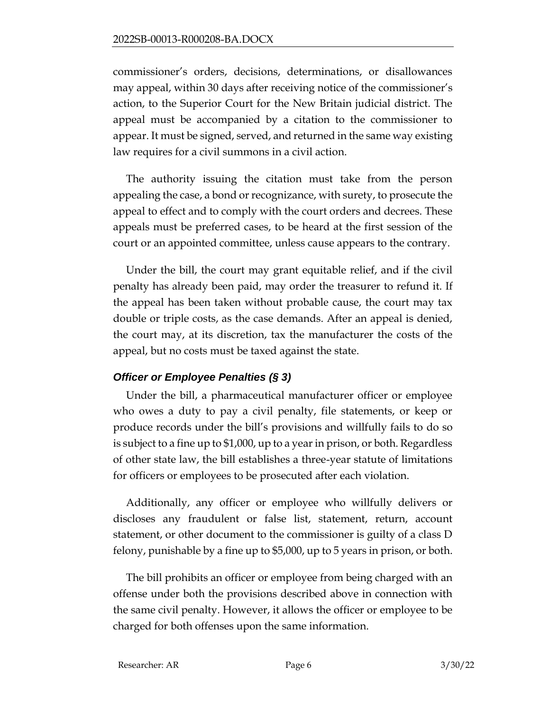commissioner's orders, decisions, determinations, or disallowances may appeal, within 30 days after receiving notice of the commissioner's action, to the Superior Court for the New Britain judicial district. The appeal must be accompanied by a citation to the commissioner to appear. It must be signed, served, and returned in the same way existing law requires for a civil summons in a civil action.

The authority issuing the citation must take from the person appealing the case, a bond or recognizance, with surety, to prosecute the appeal to effect and to comply with the court orders and decrees. These appeals must be preferred cases, to be heard at the first session of the court or an appointed committee, unless cause appears to the contrary.

Under the bill, the court may grant equitable relief, and if the civil penalty has already been paid, may order the treasurer to refund it. If the appeal has been taken without probable cause, the court may tax double or triple costs, as the case demands. After an appeal is denied, the court may, at its discretion, tax the manufacturer the costs of the appeal, but no costs must be taxed against the state.

### *Officer or Employee Penalties (§ 3)*

Under the bill, a pharmaceutical manufacturer officer or employee who owes a duty to pay a civil penalty, file statements, or keep or produce records under the bill's provisions and willfully fails to do so is subject to a fine up to \$1,000, up to a year in prison, or both. Regardless of other state law, the bill establishes a three-year statute of limitations for officers or employees to be prosecuted after each violation.

Additionally, any officer or employee who willfully delivers or discloses any fraudulent or false list, statement, return, account statement, or other document to the commissioner is guilty of a class D felony, punishable by a fine up to \$5,000, up to 5 years in prison, or both.

The bill prohibits an officer or employee from being charged with an offense under both the provisions described above in connection with the same civil penalty. However, it allows the officer or employee to be charged for both offenses upon the same information.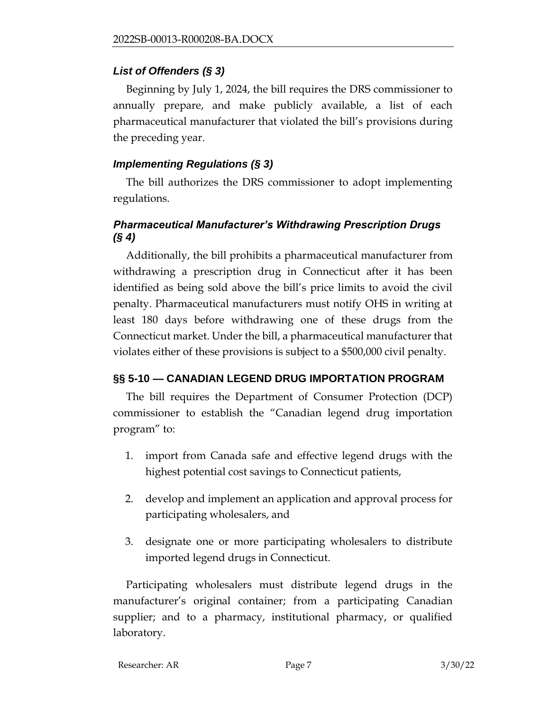#### *List of Offenders (§ 3)*

Beginning by July 1, 2024, the bill requires the DRS commissioner to annually prepare, and make publicly available, a list of each pharmaceutical manufacturer that violated the bill's provisions during the preceding year.

#### *Implementing Regulations (§ 3)*

The bill authorizes the DRS commissioner to adopt implementing regulations.

### *Pharmaceutical Manufacturer's Withdrawing Prescription Drugs (§ 4)*

Additionally, the bill prohibits a pharmaceutical manufacturer from withdrawing a prescription drug in Connecticut after it has been identified as being sold above the bill's price limits to avoid the civil penalty. Pharmaceutical manufacturers must notify OHS in writing at least 180 days before withdrawing one of these drugs from the Connecticut market. Under the bill, a pharmaceutical manufacturer that violates either of these provisions is subject to a \$500,000 civil penalty.

### **§§ 5-10 — CANADIAN LEGEND DRUG IMPORTATION PROGRAM**

The bill requires the Department of Consumer Protection (DCP) commissioner to establish the "Canadian legend drug importation program" to:

- 1. import from Canada safe and effective legend drugs with the highest potential cost savings to Connecticut patients,
- 2. develop and implement an application and approval process for participating wholesalers, and
- 3. designate one or more participating wholesalers to distribute imported legend drugs in Connecticut.

Participating wholesalers must distribute legend drugs in the manufacturer's original container; from a participating Canadian supplier; and to a pharmacy, institutional pharmacy, or qualified laboratory.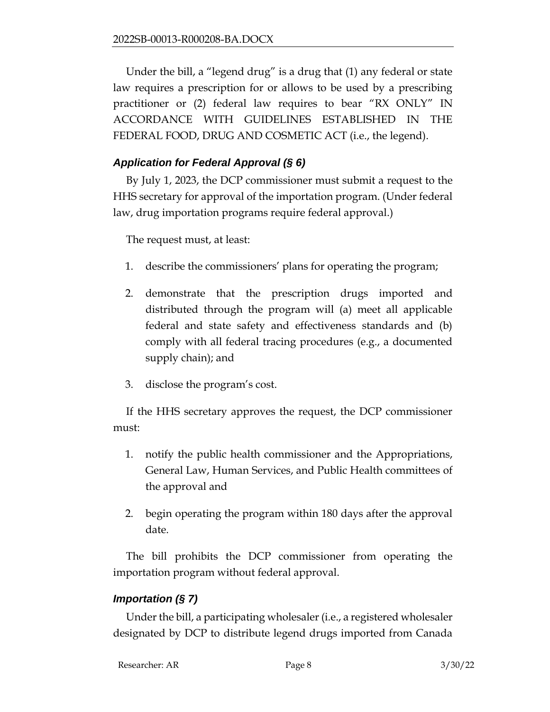Under the bill, a "legend drug" is a drug that (1) any federal or state law requires a prescription for or allows to be used by a prescribing practitioner or (2) federal law requires to bear "RX ONLY" IN ACCORDANCE WITH GUIDELINES ESTABLISHED IN THE FEDERAL FOOD, DRUG AND COSMETIC ACT (i.e., the legend).

### *Application for Federal Approval (§ 6)*

By July 1, 2023, the DCP commissioner must submit a request to the HHS secretary for approval of the importation program. (Under federal law, drug importation programs require federal approval.)

The request must, at least:

- 1. describe the commissioners' plans for operating the program;
- 2. demonstrate that the prescription drugs imported and distributed through the program will (a) meet all applicable federal and state safety and effectiveness standards and (b) comply with all federal tracing procedures (e.g., a documented supply chain); and
- 3. disclose the program's cost.

If the HHS secretary approves the request, the DCP commissioner must:

- 1. notify the public health commissioner and the Appropriations, General Law, Human Services, and Public Health committees of the approval and
- 2. begin operating the program within 180 days after the approval date.

The bill prohibits the DCP commissioner from operating the importation program without federal approval.

### *Importation (§ 7)*

Under the bill, a participating wholesaler (i.e., a registered wholesaler designated by DCP to distribute legend drugs imported from Canada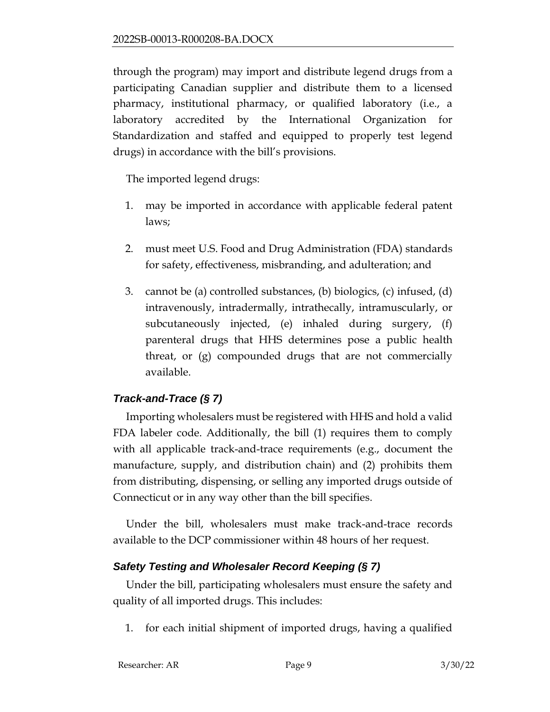through the program) may import and distribute legend drugs from a participating Canadian supplier and distribute them to a licensed pharmacy, institutional pharmacy, or qualified laboratory (i.e., a laboratory accredited by the International Organization for Standardization and staffed and equipped to properly test legend drugs) in accordance with the bill's provisions.

The imported legend drugs:

- 1. may be imported in accordance with applicable federal patent laws;
- 2. must meet U.S. Food and Drug Administration (FDA) standards for safety, effectiveness, misbranding, and adulteration; and
- 3. cannot be (a) controlled substances, (b) biologics, (c) infused, (d) intravenously, intradermally, intrathecally, intramuscularly, or subcutaneously injected, (e) inhaled during surgery, (f) parenteral drugs that HHS determines pose a public health threat, or (g) compounded drugs that are not commercially available.

### *Track-and-Trace (§ 7)*

Importing wholesalers must be registered with HHS and hold a valid FDA labeler code. Additionally, the bill (1) requires them to comply with all applicable track-and-trace requirements (e.g., document the manufacture, supply, and distribution chain) and (2) prohibits them from distributing, dispensing, or selling any imported drugs outside of Connecticut or in any way other than the bill specifies.

Under the bill, wholesalers must make track-and-trace records available to the DCP commissioner within 48 hours of her request.

#### *Safety Testing and Wholesaler Record Keeping (§ 7)*

Under the bill, participating wholesalers must ensure the safety and quality of all imported drugs. This includes:

1. for each initial shipment of imported drugs, having a qualified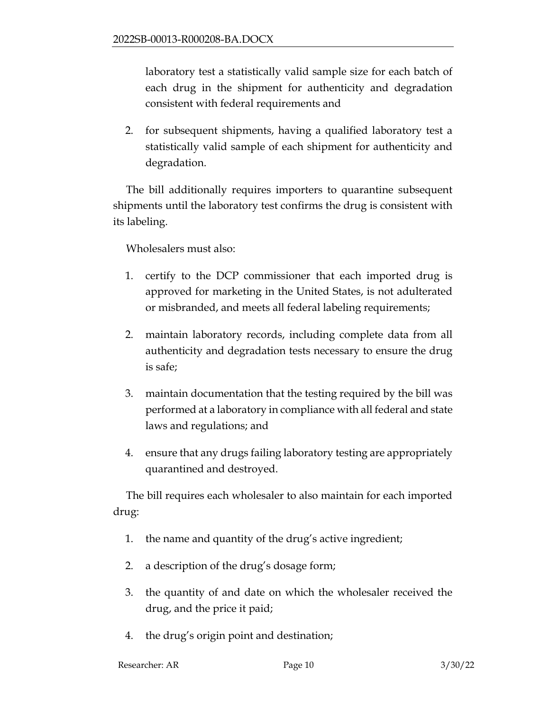laboratory test a statistically valid sample size for each batch of each drug in the shipment for authenticity and degradation consistent with federal requirements and

2. for subsequent shipments, having a qualified laboratory test a statistically valid sample of each shipment for authenticity and degradation.

The bill additionally requires importers to quarantine subsequent shipments until the laboratory test confirms the drug is consistent with its labeling.

#### Wholesalers must also:

- 1. certify to the DCP commissioner that each imported drug is approved for marketing in the United States, is not adulterated or misbranded, and meets all federal labeling requirements;
- 2. maintain laboratory records, including complete data from all authenticity and degradation tests necessary to ensure the drug is safe;
- 3. maintain documentation that the testing required by the bill was performed at a laboratory in compliance with all federal and state laws and regulations; and
- 4. ensure that any drugs failing laboratory testing are appropriately quarantined and destroyed.

The bill requires each wholesaler to also maintain for each imported drug:

- 1. the name and quantity of the drug's active ingredient;
- 2. a description of the drug's dosage form;
- 3. the quantity of and date on which the wholesaler received the drug, and the price it paid;
- 4. the drug's origin point and destination;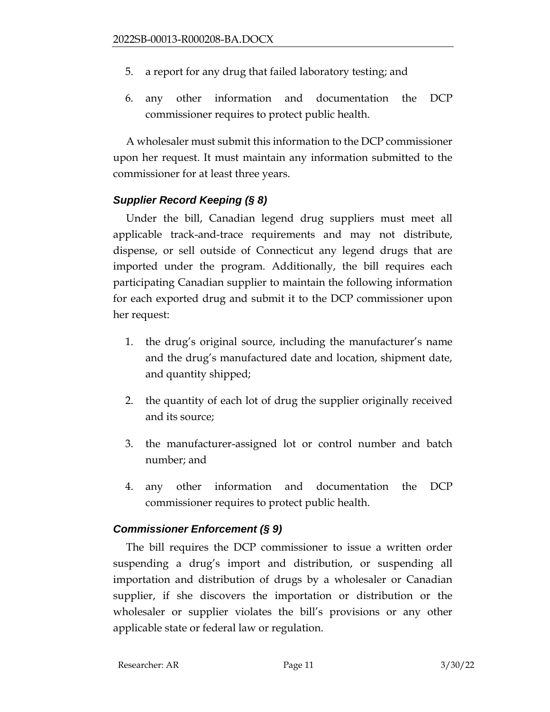- 5. a report for any drug that failed laboratory testing; and
- 6. any other information and documentation the DCP commissioner requires to protect public health.

A wholesaler must submit this information to the DCP commissioner upon her request. It must maintain any information submitted to the commissioner for at least three years.

#### *Supplier Record Keeping (§ 8)*

Under the bill, Canadian legend drug suppliers must meet all applicable track-and-trace requirements and may not distribute, dispense, or sell outside of Connecticut any legend drugs that are imported under the program. Additionally, the bill requires each participating Canadian supplier to maintain the following information for each exported drug and submit it to the DCP commissioner upon her request:

- 1. the drug's original source, including the manufacturer's name and the drug's manufactured date and location, shipment date, and quantity shipped;
- 2. the quantity of each lot of drug the supplier originally received and its source;
- 3. the manufacturer-assigned lot or control number and batch number; and
- 4. any other information and documentation the DCP commissioner requires to protect public health.

#### *Commissioner Enforcement (§ 9)*

The bill requires the DCP commissioner to issue a written order suspending a drug's import and distribution, or suspending all importation and distribution of drugs by a wholesaler or Canadian supplier, if she discovers the importation or distribution or the wholesaler or supplier violates the bill's provisions or any other applicable state or federal law or regulation.